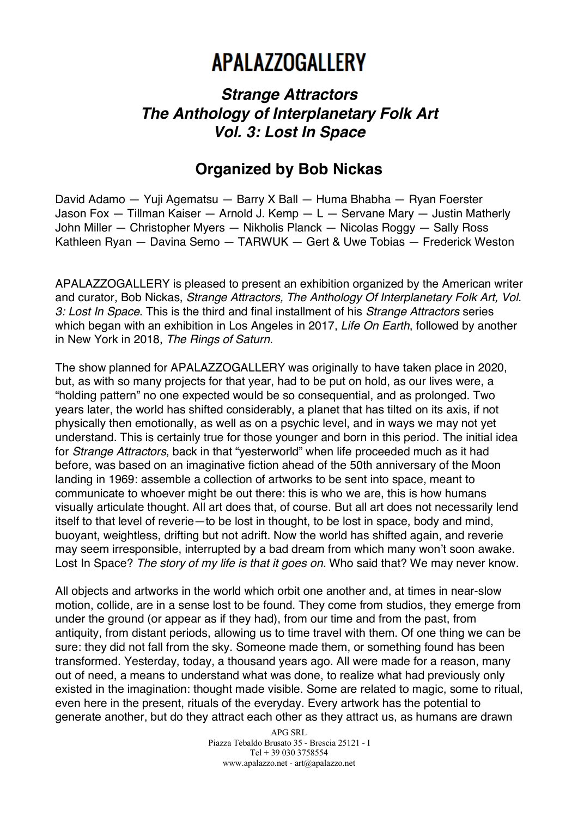## **APALAZZOGALLERY**

## *Strange Attractors The Anthology of Interplanetary Folk Art Vol. 3: Lost In Space*

## **Organized by Bob Nickas**

David Adamo — Yuji Agematsu — Barry X Ball — Huma Bhabha — Ryan Foerster Jason Fox — Tillman Kaiser — Arnold J. Kemp — L — Servane Mary — Justin Matherly John Miller — Christopher Myers — Nikholis Planck — Nicolas Roggy — Sally Ross Kathleen Ryan — Davina Semo — TARWUK — Gert & Uwe Tobias — Frederick Weston

APALAZZOGALLERY is pleased to present an exhibition organized by the American writer and curator, Bob Nickas, *Strange Attractors, The Anthology Of Interplanetary Folk Art, Vol. 3: Lost In Space*. This is the third and final installment of his *Strange Attractors* series which began with an exhibition in Los Angeles in 2017, *Life On Earth*, followed by another in New York in 2018, *The Rings of Saturn*.

The show planned for APALAZZOGALLERY was originally to have taken place in 2020, but, as with so many projects for that year, had to be put on hold, as our lives were, a "holding pattern" no one expected would be so consequential, and as prolonged. Two years later, the world has shifted considerably, a planet that has tilted on its axis, if not physically then emotionally, as well as on a psychic level, and in ways we may not yet understand. This is certainly true for those younger and born in this period. The initial idea for *Strange Attractors*, back in that "yesterworld" when life proceeded much as it had before, was based on an imaginative fiction ahead of the 50th anniversary of the Moon landing in 1969: assemble a collection of artworks to be sent into space, meant to communicate to whoever might be out there: this is who we are, this is how humans visually articulate thought. All art does that, of course. But all art does not necessarily lend itself to that level of reverie—to be lost in thought, to be lost in space, body and mind, buoyant, weightless, drifting but not adrift. Now the world has shifted again, and reverie may seem irresponsible, interrupted by a bad dream from which many won't soon awake. Lost In Space? *The story of my life is that it goes on.* Who said that? We may never know.

All objects and artworks in the world which orbit one another and, at times in near-slow motion, collide, are in a sense lost to be found. They come from studios, they emerge from under the ground (or appear as if they had), from our time and from the past, from antiquity, from distant periods, allowing us to time travel with them. Of one thing we can be sure: they did not fall from the sky. Someone made them, or something found has been transformed. Yesterday, today, a thousand years ago. All were made for a reason, many out of need, a means to understand what was done, to realize what had previously only existed in the imagination: thought made visible. Some are related to magic, some to ritual, even here in the present, rituals of the everyday. Every artwork has the potential to generate another, but do they attract each other as they attract us, as humans are drawn

> APG SRL Piazza Tebaldo Brusato 35 - Brescia 25121 - I Tel + 39 030 3758554 www.apalazzo.net - art@apalazzo.net